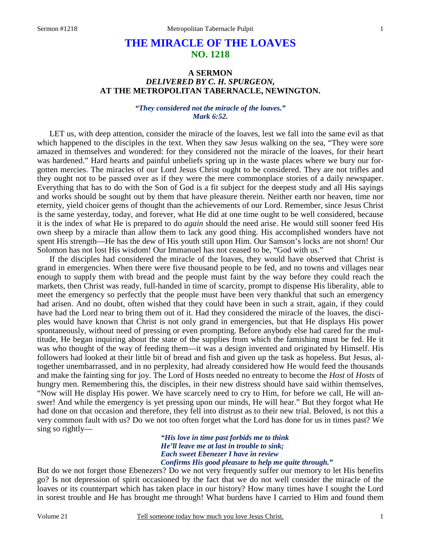# **THE MIRACLE OF THE LOAVES NO. 1218**

## **A SERMON**  *DELIVERED BY C. H. SPURGEON,*  **AT THE METROPOLITAN TABERNACLE, NEWINGTON.**

#### *"They considered not the miracle of the loaves." Mark 6:52.*

LET us, with deep attention, consider the miracle of the loaves, lest we fall into the same evil as that which happened to the disciples in the text. When they saw Jesus walking on the sea, "They were sore amazed in themselves and wondered: for they considered not the miracle of the loaves, for their heart was hardened." Hard hearts and painful unbeliefs spring up in the waste places where we bury our forgotten mercies. The miracles of our Lord Jesus Christ ought to be considered. They are not trifles and they ought not to be passed over as if they were the mere commonplace stories of a daily newspaper. Everything that has to do with the Son of God is a fit subject for the deepest study and all His sayings and works should be sought out by them that have pleasure therein. Neither earth nor heaven, time nor eternity, yield choicer gems of thought than the achievements of our Lord. Remember, since Jesus Christ is the same yesterday, today, and forever, what He did at one time ought to be well considered, because it is the index of what He is prepared to do *again* should the need arise. He would still sooner feed His own sheep by a miracle than allow them to lack any good thing. His accomplished wonders have not spent His strength—He has the dew of His youth still upon Him. Our Samson's locks are not shorn! Our Solomon has not lost His wisdom! Our Immanuel has not ceased to be, "God with us."

If the disciples had considered the miracle of the loaves, they would have observed that Christ is grand in emergencies. When there were five thousand people to be fed, and no towns and villages near enough to supply them with bread and the people must faint by the way before they could reach the markets, then Christ was ready, full-handed in time of scarcity, prompt to dispense His liberality, able to meet the emergency so perfectly that the people must have been very thankful that such an emergency had arisen. And no doubt, often wished that they could have been in such a strait, again, if they could have had the Lord near to bring them out of it. Had they considered the miracle of the loaves, the disciples would have known that Christ is not only grand in emergencies, but that He displays His power spontaneously, without need of pressing or even prompting. Before anybody else had cared for the multitude, He began inquiring about the state of the supplies from which the famishing must be fed. He it was who thought of the way of feeding them—it was a design invented and originated by Himself. His followers had looked at their little bit of bread and fish and given up the task as hopeless. But Jesus, altogether unembarrassed, and in no perplexity, had already considered how He would feed the thousands and make the fainting sing for joy. The Lord of Hosts needed no entreaty to become the *Host* of *Hosts* of hungry men. Remembering this, the disciples, in their new distress should have said within themselves, "Now will He display His power. We have scarcely need to cry to Him, for before we call, He will answer! And while the emergency is yet pressing upon our minds, He will hear." But they forgot what He had done on that occasion and therefore, they fell into distrust as to their new trial. Beloved, is not this a very common fault with us? Do we not too often forget what the Lord has done for us in times past? We sing so rightly—

*"His love in time past forbids me to think He'll leave me at last in trouble to sink; Each sweet Ebenezer I have in review Confirms His good pleasure to help me quite through."* 

But do we not forget those Ebenezers? Do we not very frequently suffer our memory to let His benefits go? Is not depression of spirit occasioned by the fact that we do not well consider the miracle of the loaves or its counterpart which has taken place in our history? How many times have I sought the Lord in sorest trouble and He has brought me through! What burdens have I carried to Him and found them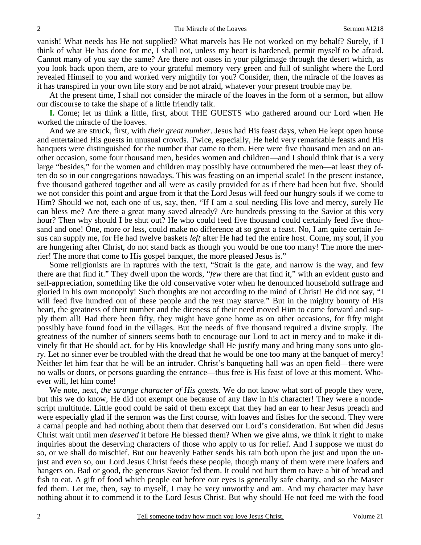vanish! What needs has He not supplied? What marvels has He not worked on my behalf? Surely, if I think of what He has done for me, I shall not, unless my heart is hardened, permit myself to be afraid. Cannot many of you say the same? Are there not oases in your pilgrimage through the desert which, as you look back upon them, are to your grateful memory very green and full of sunlight where the Lord revealed Himself to you and worked very mightily for you? Consider, then, the miracle of the loaves as it has transpired in your own life story and be not afraid, whatever your present trouble may be.

At the present time, I shall not consider the miracle of the loaves in the form of a sermon, but allow our discourse to take the shape of a little friendly talk.

**I.** Come; let us think a little, first, about THE GUESTS who gathered around our Lord when He worked the miracle of the loaves.

And we are struck, first, with *their great number*. Jesus had His feast days, when He kept open house and entertained His guests in unusual crowds. Twice, especially, He held very remarkable feasts and His banquets were distinguished for the number that came to them. Here were five thousand men and on another occasion, some four thousand men, besides women and children—and I should think that is a very large "besides," for the women and children may possibly have outnumbered the men—at least they often do so in our congregations nowadays. This was feasting on an imperial scale! In the present instance, five thousand gathered together and all were as easily provided for as if there had been but five. Should we not consider this point and argue from it that the Lord Jesus will feed our hungry souls if we come to Him? Should we not, each one of us, say, then, "If I am a soul needing His love and mercy, surely He can bless me? Are there a great many saved already? Are hundreds pressing to the Savior at this very hour? Then why should I be shut out? He who could feed five thousand could certainly feed five thousand and one! One, more or less, could make no difference at so great a feast. No, I am quite certain Jesus can supply me, for He had twelve baskets *left* after He had fed the entire host. Come, my soul, if you are hungering after Christ, do not stand back as though you would be one too many! The more the merrier! The more that come to His gospel banquet, the more pleased Jesus is."

Some religionists are in raptures with the text, "Strait is the gate, and narrow is the way, and few there are that find it." They dwell upon the words, "*few* there are that find it," with an evident gusto and self-appreciation, something like the old conservative voter when he denounced household suffrage and gloried in his own monopoly! Such thoughts are not according to the mind of Christ! He did not say, "I will feed five hundred out of these people and the rest may starve." But in the mighty bounty of His heart, the greatness of their number and the direness of their need moved Him to come forward and supply them all! Had there been fifty, they might have gone home as on other occasions, for fifty might possibly have found food in the villages. But the needs of five thousand required a divine supply. The greatness of the number of sinners seems both to encourage our Lord to act in mercy and to make it divinely fit that He should act, for by His knowledge shall He justify many and bring many sons unto glory. Let no sinner ever be troubled with the dread that he would be one too many at the banquet of mercy! Neither let him fear that he will be an intruder. Christ's banqueting hall was an open field—there were no walls or doors, or persons guarding the entrance—thus free is His feast of love at this moment. Whoever will, let him come!

We note, next, *the strange character of His guests*. We do not know what sort of people they were, but this we do know, He did not exempt one because of any flaw in his character! They were a nondescript multitude. Little good could be said of them except that they had an ear to hear Jesus preach and were especially glad if the sermon was the first course, with loaves and fishes for the second. They were a carnal people and had nothing about them that deserved our Lord's consideration. But when did Jesus Christ wait until men *deserved* it before He blessed them? When we give alms, we think it right to make inquiries about the deserving characters of those who apply to us for relief. And I suppose we must do so, or we shall do mischief. But our heavenly Father sends his rain both upon the just and upon the unjust and even so, our Lord Jesus Christ feeds these people, though many of them were mere loafers and hangers on. Bad or good, the generous Savior fed them. It could not hurt them to have a bit of bread and fish to eat. A gift of food which people eat before our eyes is generally safe charity, and so the Master fed them. Let me, then, say to myself, I may be very unworthy and am. And my character may have nothing about it to commend it to the Lord Jesus Christ. But why should He not feed me with the food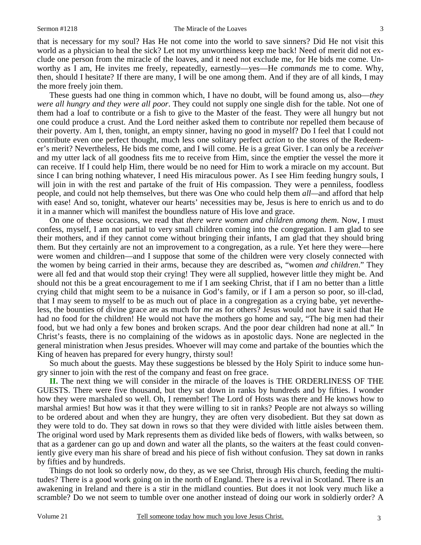that is necessary for my soul? Has He not come into the world to save sinners? Did He not visit this world as a physician to heal the sick? Let not my unworthiness keep me back! Need of merit did not exclude one person from the miracle of the loaves, and it need not exclude me, for He bids me come. Unworthy as I am, He invites me freely, repeatedly, earnestly—yes—He *commands* me to come. Why, then, should I hesitate? If there are many, I will be one among them. And if they are of all kinds, I may the more freely join them.

These guests had one thing in common which, I have no doubt, will be found among us, also—*they were all hungry and they were all poor*. They could not supply one single dish for the table. Not one of them had a loaf to contribute or a fish to give to the Master of the feast. They were all hungry but not one could produce a crust. And the Lord neither asked them to contribute nor repelled them because of their poverty. Am I, then, tonight, an empty sinner, having no good in myself? Do I feel that I could not contribute even one perfect thought, much less one solitary perfect *action* to the stores of the Redeemer's merit? Nevertheless, He bids me come, and I will come. He is a great Giver. I can only be a *receiver* and my utter lack of all goodness fits me to receive from Him, since the emptier the vessel the more it can receive. If I could help Him, there would be no need for Him to work a miracle on my account. But since I can bring nothing whatever, I need His miraculous power. As I see Him feeding hungry souls, I will join in with the rest and partake of the fruit of His compassion. They were a penniless, foodless people, and could not help themselves, but there was One who could help them *all—*and afford that help with ease! And so, tonight, whatever our hearts' necessities may be, Jesus is here to enrich us and to do it in a manner which will manifest the boundless nature of His love and grace.

On one of these occasions, we read that *there were women and children among them*. Now, I must confess, myself, I am not partial to very small children coming into the congregation. I am glad to see their mothers, and if they cannot come without bringing their infants, I am glad that they should bring them. But they certainly are not an improvement to a congregation, as a rule. Yet here they were—here were women and children—and I suppose that some of the children were very closely connected with the women by being carried in their arms, because they are described as, "women *and children*." They were all fed and that would stop their crying! They were all supplied, however little they might be. And should not this be a great encouragement to me if I am seeking Christ, that if I am no better than a little crying child that might seem to be a nuisance in God's family, or if I am a person so poor, so ill-clad, that I may seem to myself to be as much out of place in a congregation as a crying babe, yet nevertheless, the bounties of divine grace are as much for *me* as for others? Jesus would not have it said that He had no food for the children! He would not have the mothers go home and say, "The big men had their food, but we had only a few bones and broken scraps. And the poor dear children had none at all." In Christ's feasts, there is no complaining of the widows as in apostolic days. None are neglected in the general ministration when Jesus presides. Whoever will may come and partake of the bounties which the King of heaven has prepared for every hungry, thirsty soul!

So much about the guests. May these suggestions be blessed by the Holy Spirit to induce some hungry sinner to join with the rest of the company and feast on free grace.

**II.** The next thing we will consider in the miracle of the loaves is THE ORDERLINESS OF THE GUESTS. There were five thousand, but they sat down in ranks by hundreds and by fifties. I wonder how they were marshaled so well. Oh, I remember! The Lord of Hosts was there and He knows how to marshal armies! But how was it that they were willing to sit in ranks? People are not always so willing to be ordered about and when they are hungry, they are often very disobedient. But they sat down as they were told to do. They sat down in rows so that they were divided with little aisles between them. The original word used by Mark represents them as divided like beds of flowers, with walks between, so that as a gardener can go up and down and water all the plants, so the waiters at the feast could conveniently give every man his share of bread and his piece of fish without confusion. They sat down in ranks by fifties and by hundreds.

Things do not look so orderly now, do they, as we see Christ, through His church, feeding the multitudes? There is a good work going on in the north of England. There is a revival in Scotland. There is an awakening in Ireland and there is a stir in the midland counties. But does it not look very much like a scramble? Do we not seem to tumble over one another instead of doing our work in soldierly order? A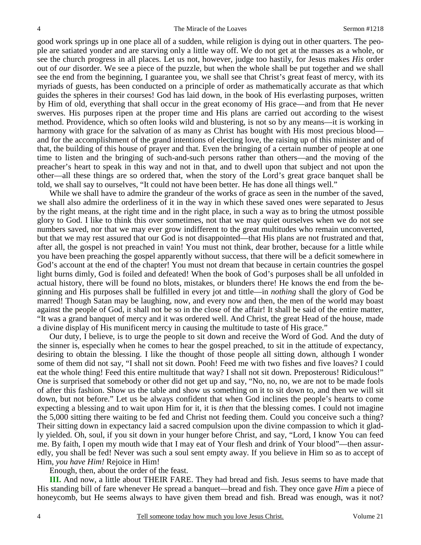good work springs up in one place all of a sudden, while religion is dying out in other quarters. The people are satiated yonder and are starving only a little way off. We do not get at the masses as a whole, or see the church progress in all places. Let us not, however, judge too hastily, for Jesus makes *His* order out of *our* disorder. We see a piece of the puzzle, but when the whole shall be put together and we shall see the end from the beginning, I guarantee you, we shall see that Christ's great feast of mercy, with its myriads of guests, has been conducted on a principle of order as mathematically accurate as that which guides the spheres in their courses! God has laid down, in the book of His everlasting purposes, written by Him of old, everything that shall occur in the great economy of His grace—and from that He never swerves. His purposes ripen at the proper time and His plans are carried out according to the wisest method. Providence, which so often looks wild and blustering, is not so by any means—it is working in harmony with grace for the salvation of as many as Christ has bought with His most precious blood and for the accomplishment of the grand intentions of electing love, the raising up of this minister and of that, the building of this house of prayer and that. Even the bringing of a certain number of people at one time to listen and the bringing of such-and-such persons rather than others—and the moving of the preacher's heart to speak in this way and not in that, and to dwell upon that subject and not upon the other—all these things are so ordered that, when the story of the Lord's great grace banquet shall be told, we shall say to ourselves, "It could not have been better. He has done all things well."

While we shall have to admire the grandeur of the works of grace as seen in the number of the saved, we shall also admire the orderliness of it in the way in which these saved ones were separated to Jesus by the right means, at the right time and in the right place, in such a way as to bring the utmost possible glory to God. I like to think this over sometimes, not that we may quiet ourselves when we do not see numbers saved, nor that we may ever grow indifferent to the great multitudes who remain unconverted, but that we may rest assured that our God is not disappointed—that His plans are not frustrated and that, after all, the gospel is not preached in vain! You must not think, dear brother, because for a little while you have been preaching the gospel apparently without success, that there will be a deficit somewhere in God's account at the end of the chapter! You must not dream that because in certain countries the gospel light burns dimly, God is foiled and defeated! When the book of God's purposes shall be all unfolded in actual history, there will be found no blots, mistakes, or blunders there! He knows the end from the beginning and His purposes shall be fulfilled in every jot and tittle—in *nothing* shall the glory of God be marred! Though Satan may be laughing, now, and every now and then, the men of the world may boast against the people of God, it shall not be so in the close of the affair! It shall be said of the entire matter, "It was a grand banquet of mercy and it was ordered well. And Christ, the great Head of the house, made a divine display of His munificent mercy in causing the multitude to taste of His grace."

Our duty, I believe, is to urge the people to sit down and receive the Word of God. And the duty of the sinner is, especially when he comes to hear the gospel preached, to sit in the attitude of expectancy, desiring to obtain the blessing. I like the thought of those people all sitting down, although I wonder some of them did not say, "I shall not sit down. Pooh! Feed me with two fishes and five loaves? I could eat the whole thing! Feed this entire multitude that way? I shall not sit down. Preposterous! Ridiculous!" One is surprised that somebody or other did not get up and say, "No, no, no, we are not to be made fools of after this fashion. Show us the table and show us something on it to sit down to, and then we will sit down, but not before." Let us be always confident that when God inclines the people's hearts to come expecting a blessing and to wait upon Him for it, it is *then* that the blessing comes. I could not imagine the 5,000 sitting there waiting to be fed and Christ not feeding them. Could you conceive such a thing? Their sitting down in expectancy laid a sacred compulsion upon the divine compassion to which it gladly yielded. Oh, soul, if you sit down in your hunger before Christ, and say, "Lord, I know You can feed me. By faith, I open my mouth wide that I may eat of Your flesh and drink of Your blood"—then assuredly, you shall be fed! Never was such a soul sent empty away. If you believe in Him so as to accept of Him, *you have Him!* Rejoice in Him!

Enough, then, about the order of the feast.

**III.** And now, a little about THEIR FARE. They had bread and fish. Jesus seems to have made that His standing bill of fare whenever He spread a banquet—bread and fish. They once gave *Him* a piece of honeycomb, but He seems always to have given them bread and fish. Bread was enough, was it not?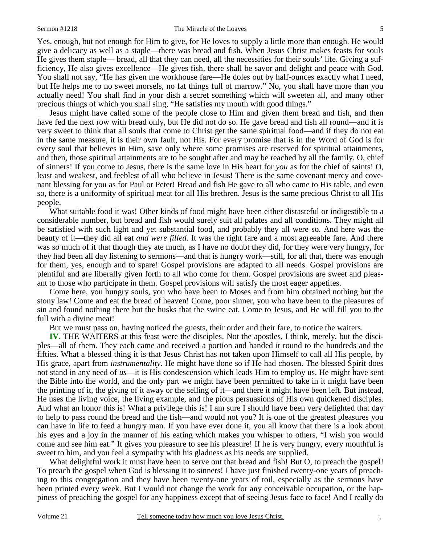Yes, enough, but not enough for Him to give, for He loves to supply a little more than enough. He would give a delicacy as well as a staple—there was bread and fish. When Jesus Christ makes feasts for souls He gives them staple— bread, all that they can need, all the necessities for their souls' life. Giving a sufficiency, He also gives excellence—He gives fish, there shall be savor and delight and peace with God. You shall not say, "He has given me workhouse fare—He doles out by half-ounces exactly what I need, but He helps me to no sweet morsels, no fat things full of marrow." No, you shall have more than you actually need! You shall find in your dish a secret something which will sweeten all, and many other precious things of which you shall sing, "He satisfies my mouth with good things."

Jesus might have called some of the people close to Him and given them bread and fish, and then have fed the next row with bread only, but He did not do so. He gave bread and fish all round—and it is very sweet to think that all souls that come to Christ get the same spiritual food—and if they do not eat in the same measure, it is their own fault, not His. For every promise that is in the Word of God is for every soul that believes in Him, save only where some promises are reserved for spiritual attainments, and then, those spiritual attainments are to be sought after and may be reached by all the family. O, chief of sinners! If you come to Jesus, there is the same love in His heart for *you* as for the chief of saints! O, least and weakest, and feeblest of all who believe in Jesus! There is the same covenant mercy and covenant blessing for you as for Paul or Peter! Bread and fish He gave to all who came to His table, and even so, there is a uniformity of spiritual meat for all His brethren. Jesus is the same precious Christ to all His people.

What suitable food it was! Other kinds of food might have been either distasteful or indigestible to a considerable number, but bread and fish would surely suit all palates and all conditions. They might all be satisfied with such light and yet substantial food, and probably they all were so. And here was the beauty of it—they did all eat *and were filled*. It was the right fare and a most agreeable fare. And there was so much of it that though they ate much, as I have no doubt they did, for they were very hungry, for they had been all day listening to sermons—and that is hungry work—still, for all that, there was enough for them, yes, enough and to spare! Gospel provisions are adapted to all needs. Gospel provisions are plentiful and are liberally given forth to all who come for them. Gospel provisions are sweet and pleasant to those who participate in them. Gospel provisions will satisfy the most eager appetites.

Come here, you hungry souls, you who have been to Moses and from him obtained nothing but the stony law! Come and eat the bread of heaven! Come, poor sinner, you who have been to the pleasures of sin and found nothing there but the husks that the swine eat. Come to Jesus, and He will fill you to the full with a divine meat!

But we must pass on, having noticed the guests, their order and their fare, to notice the waiters.

**IV.** THE WAITERS at this feast were the disciples. Not the apostles, I think, merely, but the disciples—all of them. They each came and received a portion and handed it round to the hundreds and the fifties. What a blessed thing it is that Jesus Christ has not taken upon Himself to call all His people, by His grace, apart from *instrumentality*. He might have done so if He had chosen. The blessed Spirit does not stand in any need of *us*—it is His condescension which leads Him to employ us. He might have sent the Bible into the world, and the only part we might have been permitted to take in it might have been the printing of it, the giving of it away or the selling of it—and there it might have been left. But instead, He uses the living voice, the living example, and the pious persuasions of His own quickened disciples. And what an honor this is! What a privilege this is! I am sure I should have been very delighted that day to help to pass round the bread and the fish—and would not you? It is one of the greatest pleasures you can have in life to feed a hungry man. If you have ever done it, you all know that there is a look about his eyes and a joy in the manner of his eating which makes you whisper to others, "I wish you would come and see him eat." It gives you pleasure to see his pleasure! If he is very hungry, every mouthful is sweet to him, and you feel a sympathy with his gladness as his needs are supplied.

What delightful work it must have been to serve out that bread and fish! But O, to preach the gospel! To preach the gospel when God is blessing it to sinners! I have just finished twenty-one years of preaching to this congregation and they have been twenty-one years of toil, especially as the sermons have been printed every week. But I would not change the work for any conceivable occupation, or the happiness of preaching the gospel for any happiness except that of seeing Jesus face to face! And I really do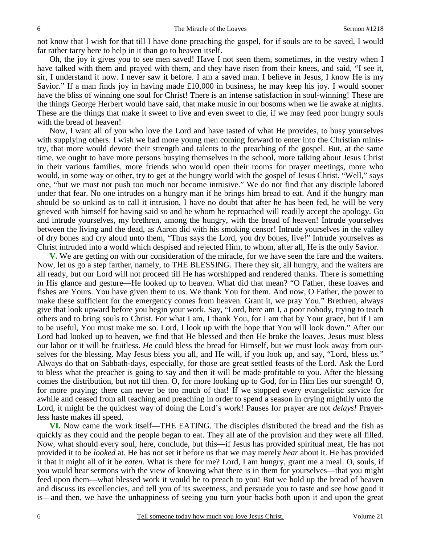not know that I wish for that till I have done preaching the gospel, for if souls are to be saved, I would far rather tarry here to help in it than go to heaven itself.

Oh, the joy it gives you to see men saved! Have I not seen them, sometimes, in the vestry when I have talked with them and prayed with them, and they have risen from their knees, and said, "I see it, sir, I understand it now. I never saw it before. I am a saved man. I believe in Jesus, I know He is my Savior." If a man finds joy in having made £10,000 in business, he may keep his joy. I would sooner have the bliss of winning one soul for Christ! There is an intense satisfaction in soul-winning! These are the things George Herbert would have said, that make music in our bosoms when we lie awake at nights. These are the things that make it sweet to live and even sweet to die, if we may feed poor hungry souls with the bread of heaven!

Now, I want all of you who love the Lord and have tasted of what He provides, to busy yourselves with supplying others. I wish we had more young men coming forward to enter into the Christian ministry, that more would devote their strength and talents to the preaching of the gospel. But, at the same time, we ought to have more persons busying themselves in the school, more talking about Jesus Christ in their various families, more friends who would open their rooms for prayer meetings, more who would, in some way or other, try to get at the hungry world with the gospel of Jesus Christ. "Well," says one, "but we must not push too much nor become intrusive." We do not find that any disciple labored under that fear. No one intrudes on a hungry man if he brings him bread to eat. And if the hungry man should be so unkind as to call it intrusion, I have no doubt that after he has been fed, he will be very grieved with himself for having said so and he whom he reproached will readily accept the apology. Go and intrude yourselves, my brethren, among the hungry, with the bread of heaven! Intrude yourselves between the living and the dead, as Aaron did with his smoking censor! Intrude yourselves in the valley of dry bones and cry aloud unto them, "Thus says the Lord, you dry bones, live!" Intrude yourselves as Christ intruded into a world which despised and rejected Him, to whom, after all, He is the only Savior.

**V.** We are getting on with our consideration of the miracle, for we have seen the fare and the waiters. Now, let us go a step farther, namely, to THE BLESSING. There they sit, all hungry, and the waiters are all ready, but our Lord will not proceed till He has worshipped and rendered thanks. There is something in His glance and gesture—He looked up to heaven. What did that mean? "O Father, these loaves and fishes are Yours. You have given them to us. We thank You for them. And now, O Father, the power to make these sufficient for the emergency comes from heaven. Grant it, we pray You." Brethren, always give that look upward before you begin your work. Say, "Lord, here am I, a poor nobody, trying to teach others and to bring souls to Christ. For what I am, I thank You, for I am that by Your grace, but if I am to be useful, You must make me so. Lord, I look up with the hope that You will look down." After our Lord had looked up to heaven, we find that He blessed and then He broke the loaves. Jesus must bless our labor or it will be fruitless. *He* could bless the bread for Himself, but we must look away from ourselves for the blessing. May Jesus bless you all, and He will, if you look up, and say, "Lord, bless us." Always do that on Sabbath-days, especially, for those are great settled feasts of the Lord. Ask the Lord to bless what the preacher is going to say and then it will be made profitable to you. After the blessing comes the distribution, but not till then. O, for more looking up to God, for in Him lies our strength! O, for more praying; there can never be too much of that! If we stopped every evangelistic service for awhile and ceased from all teaching and preaching in order to spend a season in crying mightily unto the Lord, it might be the quickest way of doing the Lord's work! Pauses for prayer are not *delays!* Prayerless haste makes ill speed.

**VI.** Now came the work itself—THE EATING. The disciples distributed the bread and the fish as quickly as they could and the people began to eat. They all ate of the provision and they were all filled. Now, what should every soul, here, conclude, but this—if Jesus has provided spiritual meat, He has not provided it to be *looked* at. He has not set it before us that we may merely *hear* about it. He has provided it that it might all of it be *eaten*. What is there for me? Lord, I am hungry, grant me a meal. O, souls, if you would hear sermons with the view of knowing what there is in them for yourselves—that you might feed upon them—what blessed work it would be to preach to you! But we hold up the bread of heaven and discuss its excellencies, and tell you of its sweetness, and persuade you to taste and see how good it is—and then, we have the unhappiness of seeing you turn your backs both upon it and upon the great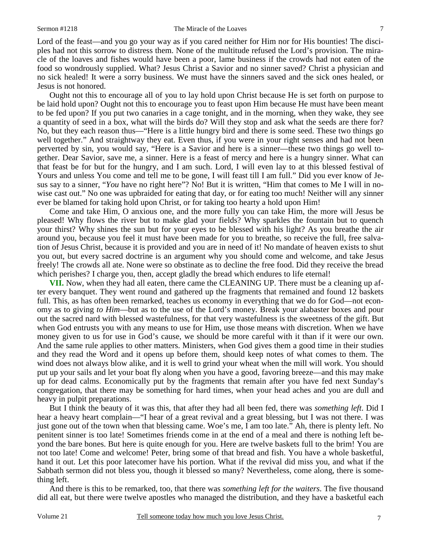7

Lord of the feast—and you go your way as if you cared neither for Him nor for His bounties! The disciples had not this sorrow to distress them. None of the multitude refused the Lord's provision. The miracle of the loaves and fishes would have been a poor, lame business if the crowds had not eaten of the food so wondrously supplied. What? Jesus Christ a Savior and no sinner saved? Christ a physician and no sick healed! It were a sorry business. We must have the sinners saved and the sick ones healed, or Jesus is not honored.

Ought not this to encourage all of you to lay hold upon Christ because He is set forth on purpose to be laid hold upon? Ought not this to encourage you to feast upon Him because He must have been meant to be fed upon? If you put two canaries in a cage tonight, and in the morning, when they wake, they see a quantity of seed in a box, what will the birds do? Will they stop and ask what the seeds are there for? No, but they each reason thus—"Here is a little hungry bird and there is some seed. These two things go well together." And straightway they eat. Even thus, if you were in your right senses and had not been perverted by sin, you would say, "Here is a Savior and here is a sinner—these two things go well together. Dear Savior, save me, a sinner. Here is a feast of mercy and here is a hungry sinner. What can that feast be for but for the hungry, and I am such. Lord, I will even lay to at this blessed festival of Yours and unless You come and tell me to be gone, I will feast till I am full." Did you ever know of Jesus say to a sinner, "*You* have no right here"? No! But it is written, "Him that comes to Me I will in nowise cast out." No one was upbraided for eating that day, or for eating too much! Neither will any sinner ever be blamed for taking hold upon Christ, or for taking too hearty a hold upon Him!

Come and take Him, O anxious one, and the more fully you can take Him, the more will Jesus be pleased! Why flows the river but to make glad your fields? Why sparkles the fountain but to quench your thirst? Why shines the sun but for your eyes to be blessed with his light? As you breathe the air around you, because you feel it must have been made for you to breathe, so receive the full, free salvation of Jesus Christ, because it is provided and you are in need of it! No mandate of heaven exists to shut you out, but every sacred doctrine is an argument why you should come and welcome, and take Jesus freely! The crowds all ate. None were so obstinate as to decline the free food. Did they receive the bread which perishes? I charge you, then, accept gladly the bread which endures to life eternal!

**VII.** Now, when they had all eaten, there came the CLEANING UP. There must be a cleaning up after every banquet. They went round and gathered up the fragments that remained and found 12 baskets full. This, as has often been remarked, teaches us economy in everything that we do for God—not economy as to giving *to Him*—but as to the use of the Lord's money. Break your alabaster boxes and pour out the sacred nard with blessed wastefulness, for that very wastefulness is the sweetness of the gift. But when God entrusts you with any means to use for Him, use those means with discretion. When we have money given to us for use in God's cause, we should be more careful with it than if it were our own. And the same rule applies to other matters. Ministers, when God gives them a good time in their studies and they read the Word and it opens up before them, should keep notes of what comes to them. The wind does not always blow alike, and it is well to grind your wheat when the mill will work. You should put up your sails and let your boat fly along when you have a good, favoring breeze—and this may make up for dead calms. Economically put by the fragments that remain after you have fed next Sunday's congregation, that there may be something for hard times, when your head aches and you are dull and heavy in pulpit preparations.

But I think the beauty of it was this, that after they had all been fed, there was *something left*. Did I hear a heavy heart complain—"I hear of a great revival and a great blessing, but I was not there. I was just gone out of the town when that blessing came. Woe's me, I am too late." Ah, there is plenty left. No penitent sinner is too late! Sometimes friends come in at the end of a meal and there is nothing left beyond the bare bones. But here is quite enough for you. Here are twelve baskets full to the brim! You are not too late! Come and welcome! Peter, bring some of that bread and fish. You have a whole basketful, hand it out. Let this poor latecomer have his portion. What if the revival did miss you, and what if the Sabbath sermon did not bless you, though it blessed so many? Nevertheless, come along, there is something left.

And there is this to be remarked, too, that there was *something left for the waiters*. The five thousand did all eat, but there were twelve apostles who managed the distribution, and they have a basketful each